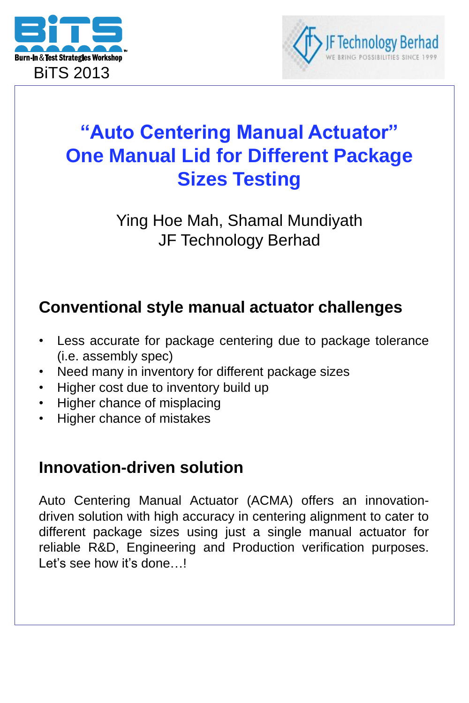



## **"Auto Centering Manual Actuator" One Manual Lid for Different Package Sizes Testing**

Ying Hoe Mah, Shamal Mundiyath JF Technology Berhad

### **Conventional style manual actuator challenges**

- Less accurate for package centering due to package tolerance (i.e. assembly spec)
- Need many in inventory for different package sizes
- Higher cost due to inventory build up
- Higher chance of misplacing
- Higher chance of mistakes

#### **Innovation-driven solution**

Auto Centering Manual Actuator (ACMA) offers an innovationdriven solution with high accuracy in centering alignment to cater to different package sizes using just a single manual actuator for reliable R&D, Engineering and Production verification purposes. Let's see how it's done...!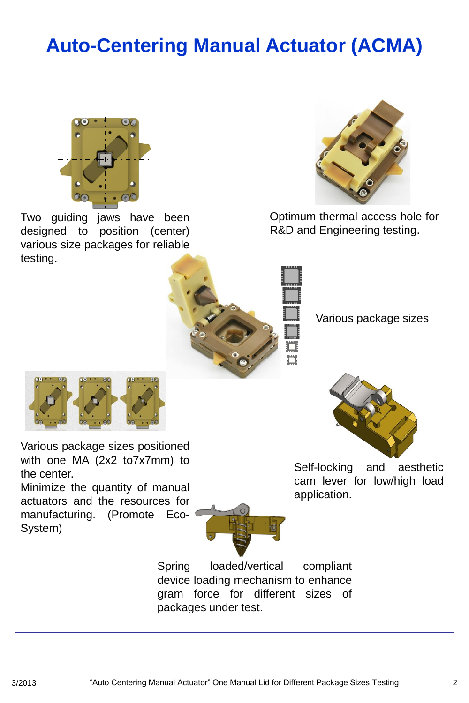# **Auto-Centering Manual Actuator (ACMA)**



Two guiding jaws have been designed to position (center) various size packages for reliable testing.



Optimum thermal access hole for R&D and Engineering testing.



Various package sizes



Various package sizes positioned with one MA (2x2 to7x7mm) to the center.

Minimize the quantity of manual actuators and the resources for manufacturing. (Promote Eco-System)





Self-locking and aesthetic cam lever for low/high load application.

Spring loaded/vertical compliant device loading mechanism to enhance gram force for different sizes of packages under test.